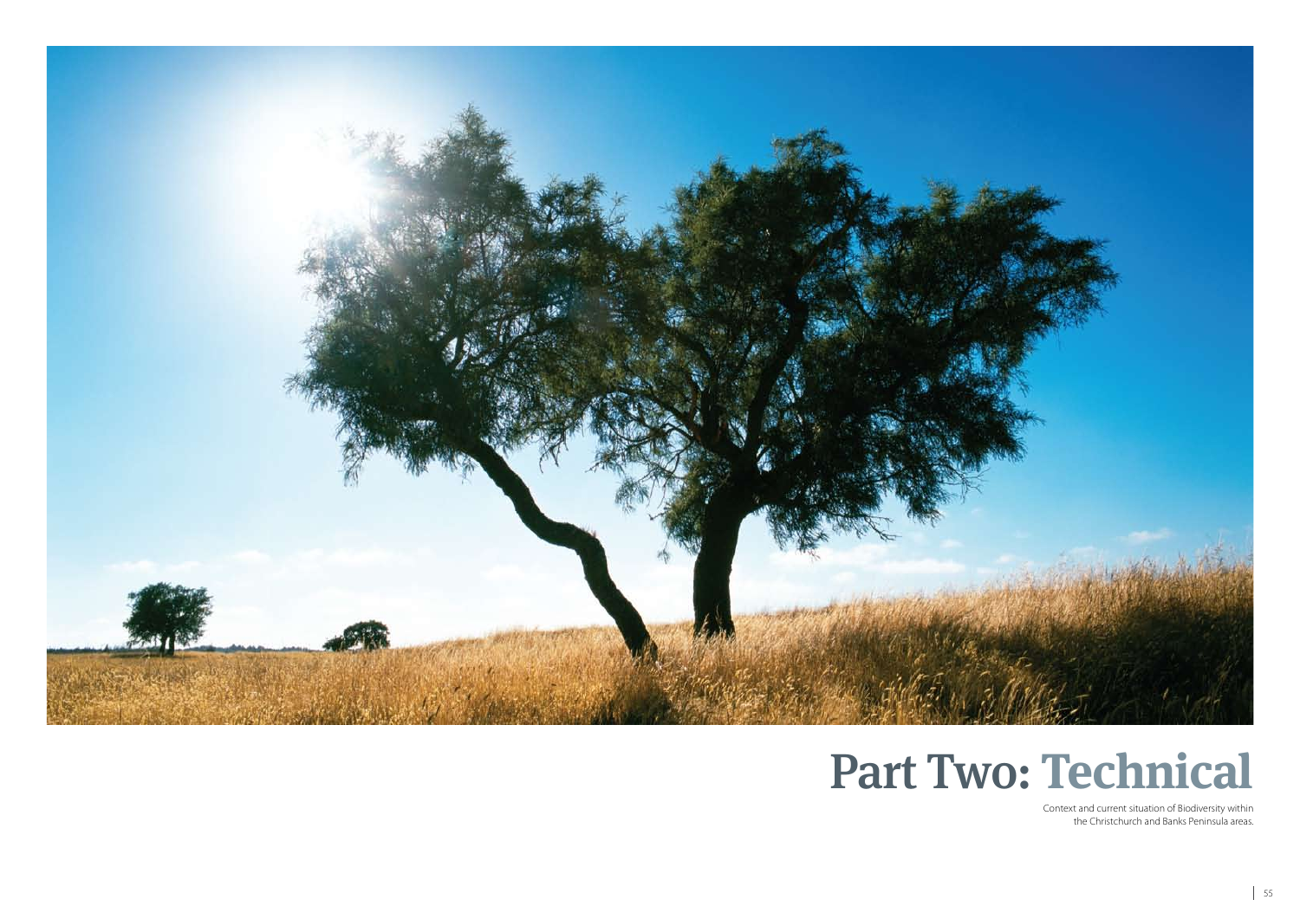



Context and current situation of Biodiversity within the Christchurch and Banks Peninsula areas.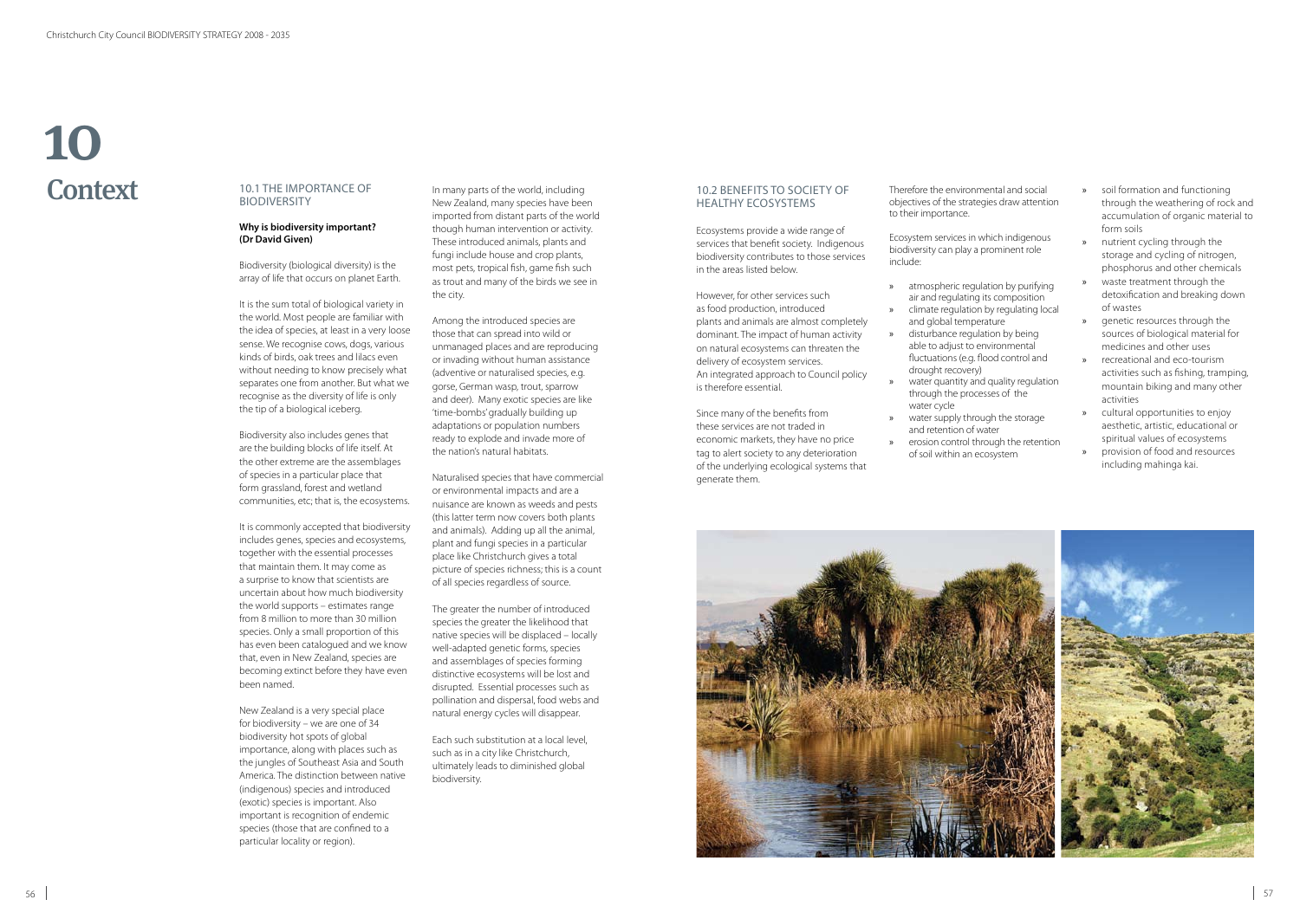| nmental and social<br>tegies draw attention                             | »             | soil formation and functioning<br>through the weathering of rock and<br>accumulation of organic material to           |
|-------------------------------------------------------------------------|---------------|-----------------------------------------------------------------------------------------------------------------------|
| n which indigenous<br>a prominent role                                  | $\mathcal{V}$ | form soils<br>nutrient cycling through the<br>storage and cycling of nitrogen,<br>phosphorus and other chemicals      |
| gulation by purifying<br>ng its composition<br>on by regulating local   | $\gg$         | waste treatment through the<br>detoxification and breaking down<br>of wastes                                          |
| perature<br>ulation by being<br>p environmental                         | »             | genetic resources through the<br>sources of biological material for<br>medicines and other uses                       |
| g. flood control and<br>ry)<br>and quality regulation<br>ocesses of the | $\mathcal{V}$ | recreational and eco-tourism<br>activities such as fishing, tramping,<br>mountain biking and many other<br>activities |
| rough the storage<br>f water                                            | »             | cultural opportunities to enjoy<br>aesthetic, artistic, educational or<br>spiritual values of ecosystems              |
| through the retention<br>ecosystem                                      | $\gg$         | provision of food and resources                                                                                       |



# 10.1 The Importance of **BIODIVERSITY**

# **Why is biodiversity important? (Dr David Given)**

Biodiversity (biological diversity) is the array of life that occurs on planet Earth.

It is the sum total of biological variety in the world. Most people are familiar with the idea of species, at least in a very loose sense. We recognise cows, dogs, various kinds of birds, oak trees and lilacs even without needing to know precisely what separates one from another. But what we recognise as the diversity of life is only the tip of a biological iceberg.

Biodiversity also includes genes that are the building blocks of life itself. At the other extreme are the assemblages of species in a particular place that form grassland, forest and wetland communities, etc; that is, the ecosystems.

# **Context** 10

It is commonly accepted that biodiversity includes genes, species and ecosystems, together with the essential processes that maintain them. It may come as a surprise to know that scientists are uncertain about how much biodiversity the world supports – estimates range from 8 million to more than 30 million species. Only a small proportion of this has even been catalogued and we know that, even in New Zealand, species are becoming extinct before they have even been named.

New Zealand is a very special place for biodiversity – we are one of 34 biodiversity hot spots of global importance, along with places such as the jungles of Southeast Asia and South America. The distinction between native (indigenous) species and introduced (exotic) species is important. Also important is recognition of endemic species (those that are confined to a particular locality or region).

In many parts of the world, including New Zealand, many species have been imported from distant parts of the world though human intervention or activity. These introduced animals, plants and fungi include house and crop plants, most pets, tropical fish, game fish such as trout and many of the birds we see in the city.

Ecosystem services in biodiversity can play include:

- » atmospheric reg air and regulating
- » climate regulation and global temp
- » disturbance regulation able to adjust to fluctuations (e.g. drought recover
- water quantity a through the prowater cycle
- water supply the and retention of erosion control of soil within an



Among the introduced species are those that can spread into wild or unmanaged places and are reproducing or invading without human assistance (adventive or naturalised species, e.g. gorse, German wasp, trout, sparrow and deer). Many exotic species are like 'time-bombs' gradually building up adaptations or population numbers ready to explode and invade more of the nation's natural habitats.

Naturalised species that have commercial or environmental impacts and are a nuisance are known as weeds and pests (this latter term now covers both plants and animals). Adding up all the animal, plant and fungi species in a particular place like Christchurch gives a total picture of species richness; this is a count of all species regardless of source.

The greater the number of introduced species the greater the likelihood that native species will be displaced – locally well-adapted genetic forms, species and assemblages of species forming distinctive ecosystems will be lost and disrupted. Essential processes such as pollination and dispersal, food webs and natural energy cycles will disappear.

Each such substitution at a local level, such as in a city like Christchurch, ultimately leads to diminished global biodiversity.

# 10.2 Benefits to Society of HealthY Ecosystems

Ecosystems provide a wide range of services that benefit society. Indigenous biodiversity contributes to those services in the areas listed below.

However, for other services such as food production, introduced plants and animals are almost completely dominant. The impact of human activity on natural ecosystems can threaten the delivery of ecosystem services. An integrated approach to Council policy is therefore essential.

Since many of the benefits from these services are not traded in economic markets, they have no price tag to alert society to any deterioration of the underlying ecological systems that generate them.



including mahinga kai.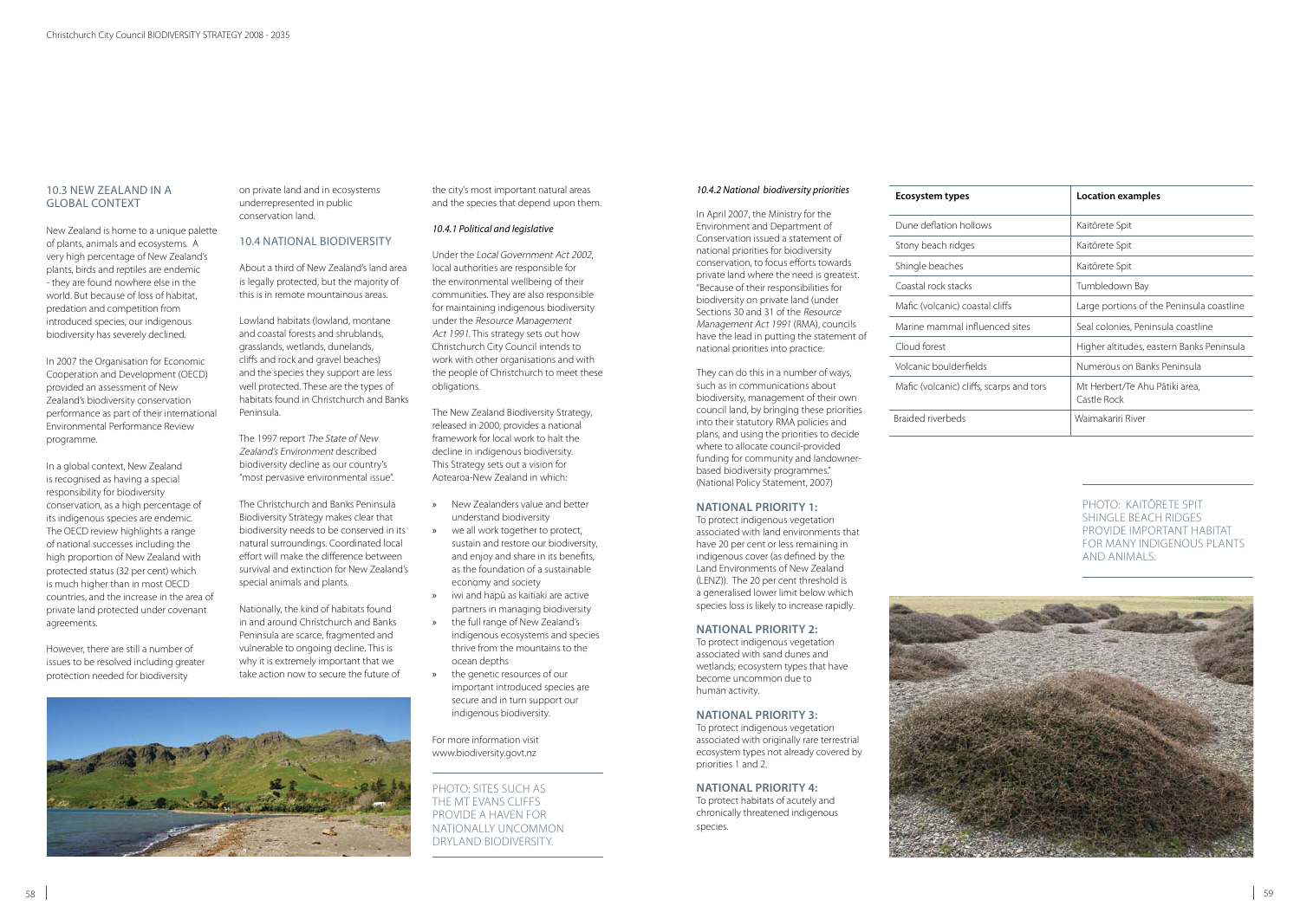# 10.3 New Zealand in a Global Context

New Zealand is home to a unique palette of plants, animals and ecosystems. A very high percentage of New Zealand's plants, birds and reptiles are endemic - they are found nowhere else in the world. But because of loss of habitat, predation and competition from introduced species, our indigenous biodiversity has severely declined.

In 2007 the Organisation for Economic Cooperation and Development (OECD) provided an assessment of New Zealand's biodiversity conservation performance as part of their international Environmental Performance Review programme.

In a global context, New Zealand is recognised as having a special responsibility for biodiversity conservation, as a high percentage of its indigenous species are endemic. The OECD review highlights a range of national successes including the high proportion of New Zealand with protected status (32 per cent) which is much higher than in most OECD countries, and the increase in the area of private land protected under covenant agreements.

However, there are still a number of issues to be resolved including greater protection needed for biodiversity

on private land and in ecosystems underrepresented in public conservation land.

# 10.4 National Biodiversity

About a third of New Zealand's land area is legally protected, but the majority of this is in remote mountainous areas.

Lowland habitats (lowland, montane and coastal forests and shrublands, grasslands, wetlands, dunelands, cliffs and rock and gravel beaches) and the species they support are less well protected. These are the types of habitats found in Christchurch and Banks Peninsula.

The 1997 report The State of New Zealand's Environment described biodiversity decline as our country's "most pervasive environmental issue".

The Christchurch and Banks Peninsula Biodiversity Strategy makes clear that biodiversity needs to be conserved in its natural surroundings. Coordinated local effort will make the difference between survival and extinction for New Zealand's special animals and plants.

Nationally, the kind of habitats found in and around Christchurch and Banks Peninsula are scarce, fragmented and vulnerable to ongoing decline. This is why it is extremely important that we take action now to secure the future of



the city's most important natural areas and the species that depend upon them.

#### *10.4.1 Political and legislative*

Under the Local Government Act 2002, local authorities are responsible for the environmental wellbeing of their communities. They are also responsible for maintaining indigenous biodiversity under the Resource Management Act 1991. This strategy sets out how Christchurch City Council intends to work with other organisations and with the people of Christchurch to meet these obligations.

The New Zealand Biodiversity Strategy, released in 2000, provides a national framework for local work to halt the decline in indigenous biodiversity. This Strategy sets out a vision for Aotearoa-New Zealand in which:

- » New Zealanders value and better understand biodiversity
- » we all work together to protect, sustain and restore our biodiversity, and enjoy and share in its benefits, as the foundation of a sustainable economy and society
- » iwi and hapū as kaitiaki are active partners in managing biodiversity
- » the full range of New Zealand's indigenous ecosystems and species thrive from the mountains to the ocean depths
- the genetic resources of our important introduced species are secure and in turn support our indigenous biodiversity.

For more information visit www.biodiversity.govt.nz

#### *10.4.2 National biodiversity priorities*

In April 2007, the Ministry for the Environment and Department of Conservation issued a statement of national priorities for biodiversity conservation, to focus efforts towards private land where the need is greatest. "Because of their responsibilities for biodiversity on private land (under Sections 30 and 31 of the Resource Management Act 1991 (RMA), councils have the lead in putting the statement of national priorities into practice.

They can do this in a number of ways, such as in communications about biodiversity, management of their own council land, by bringing these priorities into their statutory RMA policies and plans, and using the priorities to decide where to allocate council-provided funding for community and landownerbased biodiversity programmes." (National Policy Statement, 2007)

#### **NATIONAL PRIORITY 1:**

To protect indigenous vegetation associated with land environments that have 20 per cent or less remaining in indigenous cover (as defined by the Land Environments of New Zealand (LENZ)). The 20 per cent threshold is a generalised lower limit below which species loss is likely to increase rapidly.

#### **NATIONAL PRIORITY 2:**

To protect indigenous vegetation associated with sand dunes and wetlands; ecosystem types that have become uncommon due to human activity.

#### **NATIONAL PRIORITY 3:**

To protect indigenous vegetation associated with originally rare terrestrial ecosystem types not already covered by priorities 1 and 2.

#### **NATIONAL PRIORITY 4:**

To protect habitats of acutely and chronically threatened indigenous species.

#### **Ecosystem types**

| <b>Ecosystem types</b>                   | Location examples                             |
|------------------------------------------|-----------------------------------------------|
| Dune deflation hollows                   | Kaitōrete Spit                                |
| Stony beach ridges                       | Kaitōrete Spit                                |
| Shingle beaches                          | Kaitōrete Spit                                |
| Coastal rock stacks                      | Tumbledown Bay                                |
| Mafic (volcanic) coastal cliffs          | Large portions of the Peninsula coastline     |
| Marine mammal influenced sites           | Seal colonies, Peninsula coastline            |
| Cloud forest                             | Higher altitudes, eastern Banks Peninsula     |
| Volcanic boulderfields                   | Numerous on Banks Peninsula                   |
| Mafic (volcanic) cliffs, scarps and tors | Mt Herbert/Te Ahu Pātiki area,<br>Castle Rock |
| Braided riverbeds                        | Waimakariri River                             |

| Dune deflation hollov  |
|------------------------|
| Stony beach ridges     |
| Shingle beaches        |
| Coastal rock stacks    |
| Mafic (volcanic) coast |
| Marine mammal influ    |
| Cloud forest           |
| Volcanic boulderfield  |



# PHOTO: KAITŌRETE SPIT SHINGLE BEACH RIDGES PROVIDE IMPORTANT HABITAT FOR MANY INDIGENOUS PLANTS AND ANIMALS.



PHOTO: SITES SUCH AS THE MT EVANS CLIFFS PROVIDE A HAVEN FOR NATIONALLY UNCOMMON DRYLAND BIODIVERSITY.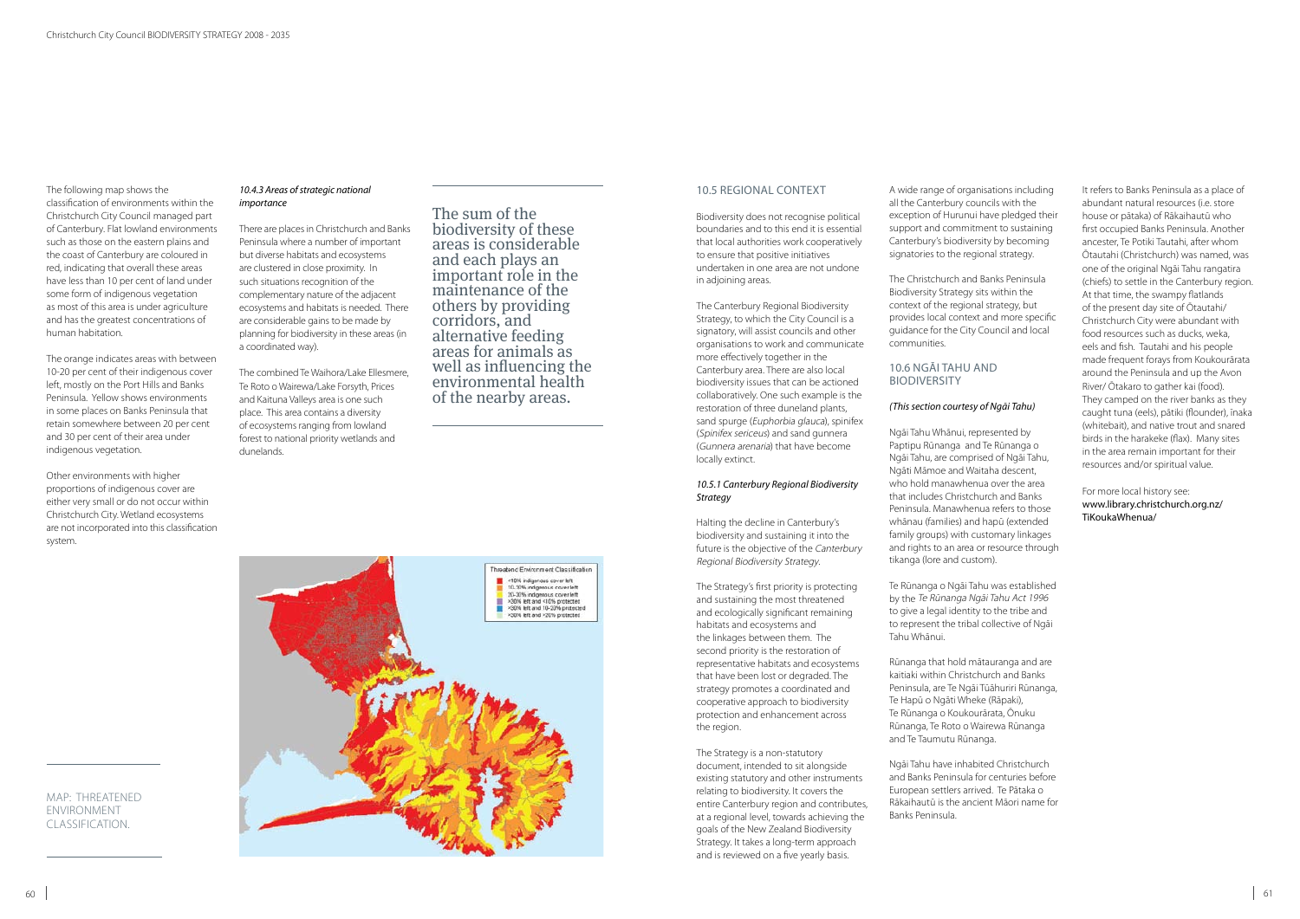The following map shows the classification of environments within the Christchurch City Council managed part of Canterbury. Flat lowland environments such as those on the eastern plains and the coast of Canterbury are coloured in red, indicating that overall these areas have less than 10 per cent of land under some form of indigenous vegetation as most of this area is under agriculture and has the greatest concentrations of human habitation.

The orange indicates areas with between 10-20 per cent of their indigenous cover left, mostly on the Port Hills and Banks Peninsula. Yellow shows environments in some places on Banks Peninsula that retain somewhere between 20 per cent and 30 per cent of their area under indigenous vegetation.

Other environments with higher proportions of indigenous cover are either very small or do not occur within Christchurch City. Wetland ecosystems are not incorporated into this classification system.

#### *10.4.3 Areas of strategic national importance*

There are places in Christchurch and Banks Peninsula where a number of important but diverse habitats and ecosystems are clustered in close proximity. In such situations recognition of the complementary nature of the adjacent ecosystems and habitats is needed. There are considerable gains to be made by planning for biodiversity in these areas (in a coordinated way).

The combined Te Waihora/Lake Ellesmere, Te Roto o Wairewa/Lake Forsyth, Prices and Kaituna Valleys area is one such place. This area contains a diversity of ecosystems ranging from lowland forest to national priority wetlands and dunelands.

MAP: THREATENED ENVIRONMENT CLASSIFICATION.

# 10.5 Regional Context

Biodiversity does not recognise political boundaries and to this end it is essential that local authorities work cooperatively to ensure that positive initiatives undertaken in one area are not undone in adjoining areas.

#### 10.6 Ngāi Tahu and **BIODIVERSITY**

The Canterbury Regional Biodiversity Strategy, to which the City Council is a signatory, will assist councils and other organisations to work and communicate more effectively together in the Canterbury area. There are also local biodiversity issues that can be actioned collaboratively. One such example is the restoration of three duneland plants, sand spurge (Euphorbia glauca), spinifex (Spinifex sericeus) and sand gunnera (Gunnera arenaria) that have become locally extinct.

#### *10.5.1 Canterbury Regional Biodiversity Strategy*

Halting the decline in Canterbury's biodiversity and sustaining it into the future is the objective of the Canterbury Regional Biodiversity Strategy.

The Strategy's first priority is protecting and sustaining the most threatened and ecologically significant remaining habitats and ecosystems and the linkages between them. The second priority is the restoration of representative habitats and ecosystems that have been lost or degraded. The strategy promotes a coordinated and cooperative approach to biodiversity protection and enhancement across the region.

The Strategy is a non-statutory document, intended to sit alongside existing statutory and other instruments relating to biodiversity. It covers the entire Canterbury region and contributes, at a regional level, towards achieving the goals of the New Zealand Biodiversity Strategy. It takes a long-term approach and is reviewed on a five yearly basis.

A wide range of organisations including all the Canterbury councils with the exception of Hurunui have pledged their support and commitment to sustaining Canterbury's biodiversity by becoming signatories to the regional strategy.

The Christchurch and Banks Peninsula Biodiversity Strategy sits within the context of the regional strategy, but provides local context and more specific guidance for the City Council and local communities.

# *(This section courtesy of Ngāi Tahu)*

Ngāi Tahu Whānui, represented by Paptipu Rūnanga and Te Rūnanga o Ngāi Tahu, are comprised of Ngāi Tahu, Ngāti Māmoe and Waitaha descent, who hold manawhenua over the area that includes Christchurch and Banks Peninsula. Manawhenua refers to those whānau (families) and hapū (extended family groups) with customary linkages and rights to an area or resource through tikanga (lore and custom).

Te Rūnanga o Ngāi Tahu was established by the Te Rūnanga Ngāi Tahu Act 1996 to give a legal identity to the tribe and to represent the tribal collective of Ngāi Tahu Whānui.

Rūnanga that hold mātauranga and are kaitiaki within Christchurch and Banks Peninsula, are Te Ngāi Tūāhuriri Rūnanga, Te Hapū o Ngāti Wheke (Rāpaki), Te Rūnanga o Koukourārata, Ōnuku Rūnanga, Te Roto o Wairewa Rūnanga and Te Taumutu Rūnanga.

Ngāi Tahu have inhabited Christchurch and Banks Peninsula for centuries before European settlers arrived. Te Pātaka o Rākaihautū is the ancient Māori name for Banks Peninsula.

It refers to Banks Peninsula as a place of abundant natural resources (i.e. store house or pātaka) of Rākaihautū who first occupied Banks Peninsula. Another ancester, Te Potiki Tautahi, after whom Ōtautahi (Christchurch) was named, was one of the original Ngāi Tahu rangatira (chiefs) to settle in the Canterbury region. At that time, the swampy flatlands of the present day site of Ōtautahi/ Christchurch City were abundant with food resources such as ducks, weka, eels and fish. Tautahi and his people made frequent forays from Koukourārata around the Peninsula and up the Avon River/ Ōtakaro to gather kai (food). They camped on the river banks as they caught tuna (eels), pātiki (flounder), īnaka (whitebait), and native trout and snared birds in the harakeke (flax). Many sites in the area remain important for their resources and/or spiritual value.

# For more local history see: www.library.christchurch.org.nz/ TiKoukaWhenua/

The sum of the biodiversity of these areas is considerable and each plays an important role in the maintenance of the others by providing corridors, and alternative feeding areas for animals as well as influencing the environmental health of the nearby areas.